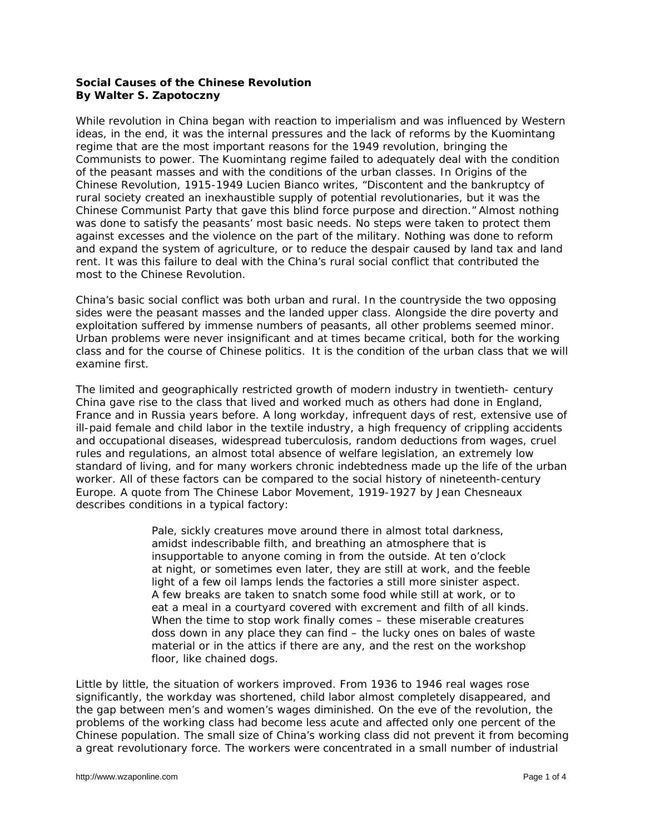## **Social Causes of the Chinese Revolution By Walter S. Zapotoczny**

While revolution in China began with reaction to imperialism and was influenced by Western ideas, in the end, it was the internal pressures and the lack of reforms by the Kuomintang regime that are the most important reasons for the 1949 revolution, bringing the Communists to power. The Kuomintang regime failed to adequately deal with the condition of the peasant masses and with the conditions of the urban classes. In *Origins of the Chinese Revolution, 1915-1949* Lucien Bianco writes, "Discontent and the bankruptcy of rural society created an inexhaustible supply of potential revolutionaries, but it was the Chinese Communist Party that gave this blind force purpose and direction." Almost nothing was done to satisfy the peasants' most basic needs. No steps were taken to protect them against excesses and the violence on the part of the military. Nothing was done to reform and expand the system of agriculture, or to reduce the despair caused by land tax and land rent. It was this failure to deal with the China's rural social conflict that contributed the most to the Chinese Revolution.

China's basic social conflict was both urban and rural. In the countryside the two opposing sides were the peasant masses and the landed upper class. Alongside the dire poverty and exploitation suffered by immense numbers of peasants, all other problems seemed minor. Urban problems were never insignificant and at times became critical, both for the working class and for the course of Chinese politics. It is the condition of the urban class that we will examine first.

The limited and geographically restricted growth of modern industry in twentieth- century China gave rise to the class that lived and worked much as others had done in England, France and in Russia years before. A long workday, infrequent days of rest, extensive use of ill-paid female and child labor in the textile industry, a high frequency of crippling accidents and occupational diseases, widespread tuberculosis, random deductions from wages, cruel rules and regulations, an almost total absence of welfare legislation, an extremely low standard of living, and for many workers chronic indebtedness made up the life of the urban worker. All of these factors can be compared to the social history of nineteenth-century Europe. A quote from *The Chinese Labor Movement, 1919-1927* by Jean Chesneaux describes conditions in a typical factory:

> Pale, sickly creatures move around there in almost total darkness, amidst indescribable filth, and breathing an atmosphere that is insupportable to anyone coming in from the outside. At ten o'clock at night, or sometimes even later, they are still at work, and the feeble light of a few oil lamps lends the factories a still more sinister aspect. A few breaks are taken to snatch some food while still at work, or to eat a meal in a courtyard covered with excrement and filth of all kinds. When the time to stop work finally comes – these miserable creatures doss down in any place they can find – the lucky ones on bales of waste material or in the attics if there are any, and the rest on the workshop floor, like chained dogs.

Little by little, the situation of workers improved. From 1936 to 1946 real wages rose significantly, the workday was shortened, child labor almost completely disappeared, and the gap between men's and women's wages diminished. On the eve of the revolution, the problems of the working class had become less acute and affected only one percent of the Chinese population. The small size of China's working class did not prevent it from becoming a great revolutionary force. The workers were concentrated in a small number of industrial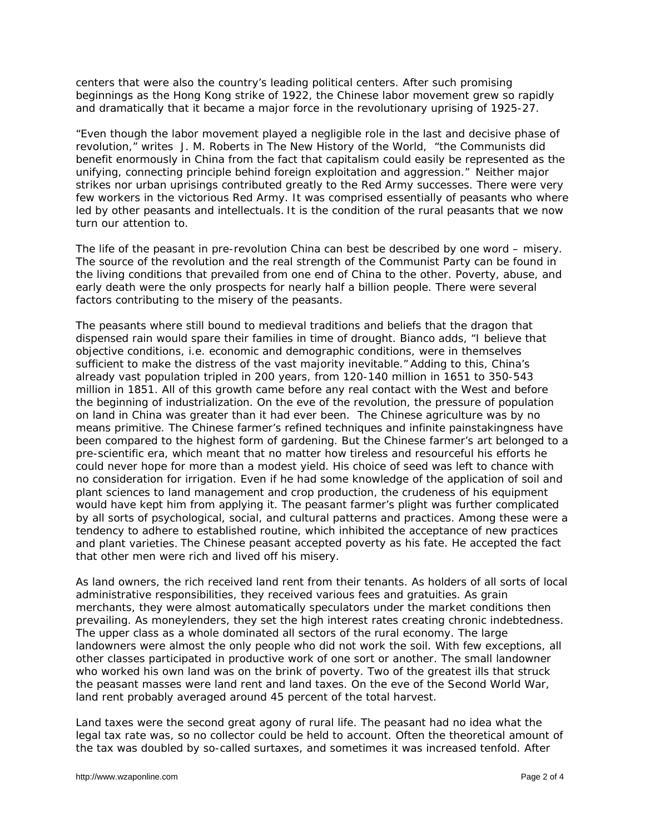centers that were also the country's leading political centers. After such promising beginnings as the Hong Kong strike of 1922, the Chinese labor movement grew so rapidly and dramatically that it became a major force in the revolutionary uprising of 1925-27.

"Even though the labor movement played a negligible role in the last and decisive phase of revolution," writes J. M. Roberts in *The New History of the World,* "the Communists did benefit enormously in China from the fact that capitalism could easily be represented as the unifying, connecting principle behind foreign exploitation and aggression." Neither major strikes nor urban uprisings contributed greatly to the Red Army successes. There were very few workers in the victorious Red Army. It was comprised essentially of peasants who where led by other peasants and intellectuals. It is the condition of the rural peasants that we now turn our attention to.

The life of the peasant in pre-revolution China can best be described by one word – misery. The source of the revolution and the real strength of the Communist Party can be found in the living conditions that prevailed from one end of China to the other. Poverty, abuse, and early death were the only prospects for nearly half a billion people. There were several factors contributing to the misery of the peasants.

The peasants where still bound to medieval traditions and beliefs that the dragon that dispensed rain would spare their families in time of drought. Bianco adds, "I believe that objective conditions, i.e. economic and demographic conditions, were in themselves sufficient to make the distress of the vast majority inevitable." Adding to this, China's already vast population tripled in 200 years, from 120-140 million in 1651 to 350-543 million in 1851. All of this growth came before any real contact with the West and before the beginning of industrialization. On the eve of the revolution, the pressure of population on land in China was greater than it had ever been. The Chinese agriculture was by no means primitive. The Chinese farmer's refined techniques and infinite painstakingness have been compared to the highest form of gardening. But the Chinese farmer's art belonged to a pre-scientific era, which meant that no matter how tireless and resourceful his efforts he could never hope for more than a modest yield. His choice of seed was left to chance with no consideration for irrigation. Even if he had some knowledge of the application of soil and plant sciences to land management and crop production, the crudeness of his equipment would have kept him from applying it. The peasant farmer's plight was further complicated by all sorts of psychological, social, and cultural patterns and practices. Among these were a tendency to adhere to established routine, which inhibited the acceptance of new practices and plant varieties. The Chinese peasant accepted poverty as his fate. He accepted the fact that other men were rich and lived off his misery.

As land owners, the rich received land rent from their tenants. As holders of all sorts of local administrative responsibilities, they received various fees and gratuities. As grain merchants, they were almost automatically speculators under the market conditions then prevailing. As moneylenders, they set the high interest rates creating chronic indebtedness. The upper class as a whole dominated all sectors of the rural economy. The large landowners were almost the only people who did not work the soil. With few exceptions, all other classes participated in productive work of one sort or another. The small landowner who worked his own land was on the brink of poverty. Two of the greatest ills that struck the peasant masses were land rent and land taxes. On the eve of the Second World War, land rent probably averaged around 45 percent of the total harvest.

Land taxes were the second great agony of rural life. The peasant had no idea what the legal tax rate was, so no collector could be held to account. Often the theoretical amount of the tax was doubled by so-called surtaxes, and sometimes it was increased tenfold. After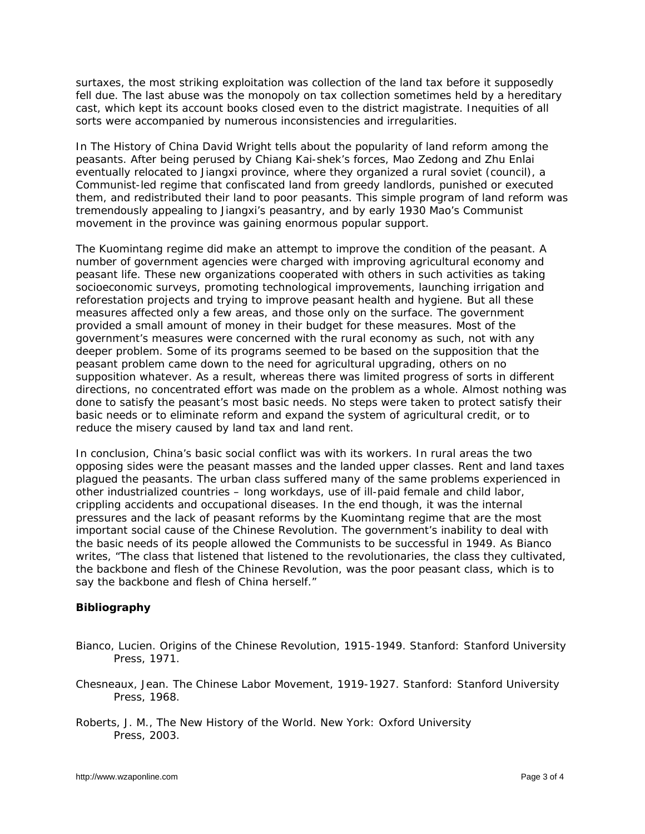surtaxes, the most striking exploitation was collection of the land tax before it supposedly fell due. The last abuse was the monopoly on tax collection sometimes held by a hereditary cast, which kept its account books closed even to the district magistrate. Inequities of all sorts were accompanied by numerous inconsistencies and irregularities.

In *The History of China* David Wright tells about the popularity of land reform among the peasants. After being perused by Chiang Kai-shek's forces, Mao Zedong and Zhu Enlai eventually relocated to Jiangxi province, where they organized a rural soviet (council), a Communist-led regime that confiscated land from greedy landlords, punished or executed them, and redistributed their land to poor peasants. This simple program of land reform was tremendously appealing to Jiangxi's peasantry, and by early 1930 Mao's Communist movement in the province was gaining enormous popular support.

The Kuomintang regime did make an attempt to improve the condition of the peasant. A number of government agencies were charged with improving agricultural economy and peasant life. These new organizations cooperated with others in such activities as taking socioeconomic surveys, promoting technological improvements, launching irrigation and reforestation projects and trying to improve peasant health and hygiene. But all these measures affected only a few areas, and those only on the surface. The government provided a small amount of money in their budget for these measures. Most of the government's measures were concerned with the rural economy as such, not with any deeper problem. Some of its programs seemed to be based on the supposition that the peasant problem came down to the need for agricultural upgrading, others on no supposition whatever. As a result, whereas there was limited progress of sorts in different directions, no concentrated effort was made on the problem as a whole. Almost nothing was done to satisfy the peasant's most basic needs. No steps were taken to protect satisfy their basic needs or to eliminate reform and expand the system of agricultural credit, or to reduce the misery caused by land tax and land rent.

In conclusion, China's basic social conflict was with its workers. In rural areas the two opposing sides were the peasant masses and the landed upper classes. Rent and land taxes plagued the peasants. The urban class suffered many of the same problems experienced in other industrialized countries – long workdays, use of ill-paid female and child labor, crippling accidents and occupational diseases. In the end though, it was the internal pressures and the lack of peasant reforms by the Kuomintang regime that are the most important social cause of the Chinese Revolution. The government's inability to deal with the basic needs of its people allowed the Communists to be successful in 1949. As Bianco writes, "The class that listened that listened to the revolutionaries, the class they cultivated, the backbone and flesh of the Chinese Revolution, was the poor peasant class, which is to say the backbone and flesh of China herself."

## **Bibliography**

- Bianco, Lucien. *Origins of the Chinese Revolution, 1915-1949*. Stanford: Stanford University Press, 1971.
- Chesneaux, Jean. *The Chinese Labor Movement, 1919-1927*. Stanford: Stanford University Press, 1968.
- Roberts, J. M., *The New History of the World*. New York: Oxford University Press, 2003.